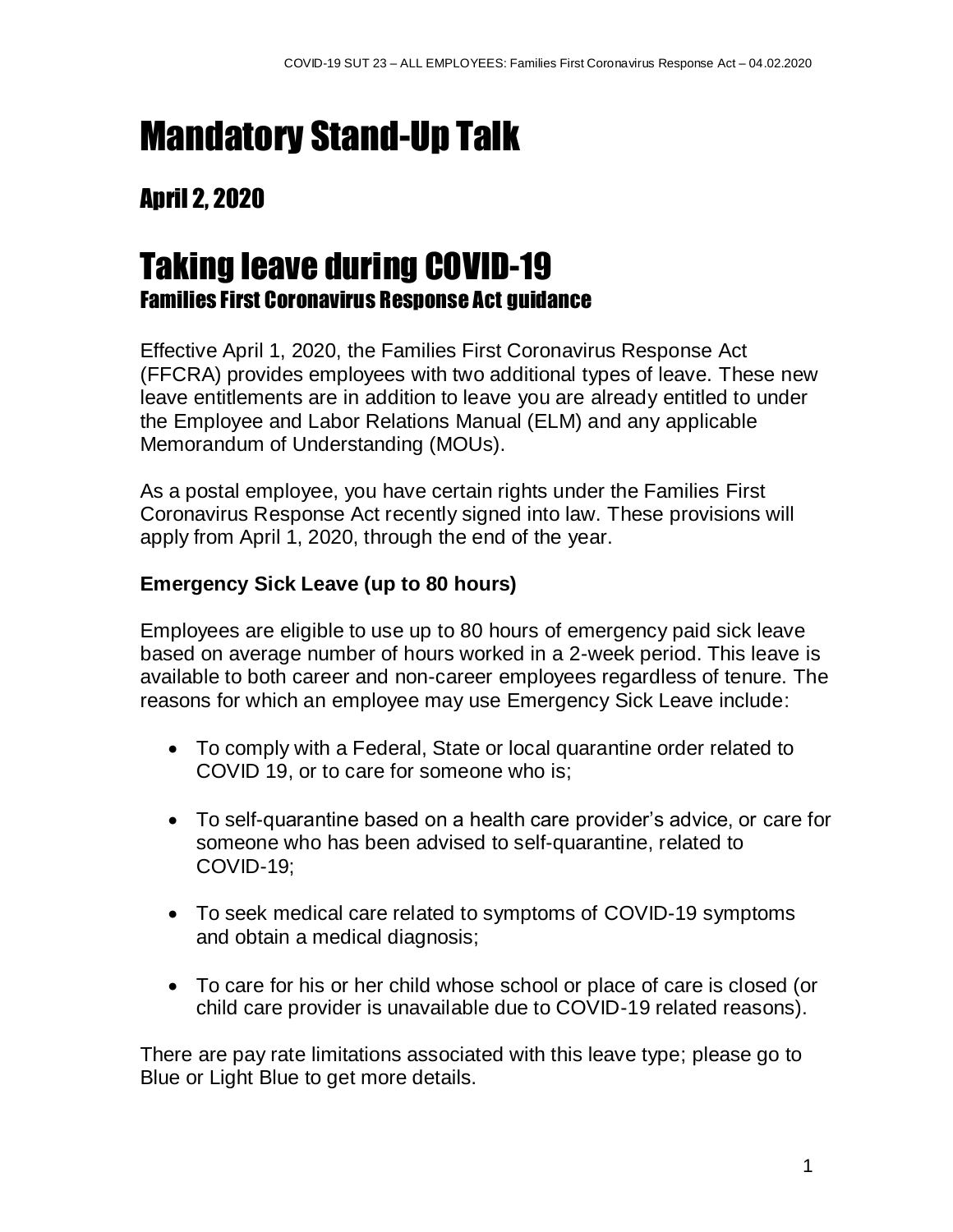# Mandatory Stand-Up Talk

### April 2, 2020

## Taking leave during COVID-19 Families First Coronavirus Response Act guidance

Effective April 1, 2020, the Families First Coronavirus Response Act (FFCRA) provides employees with two additional types of leave. These new leave entitlements are in addition to leave you are already entitled to under the Employee and Labor Relations Manual (ELM) and any applicable Memorandum of Understanding (MOUs).

As a postal employee, you have certain rights under the Families First Coronavirus Response Act recently signed into law. These provisions will apply from April 1, 2020, through the end of the year.

#### **Emergency Sick Leave (up to 80 hours)**

Employees are eligible to use up to 80 hours of emergency paid sick leave based on average number of hours worked in a 2-week period. This leave is available to both career and non-career employees regardless of tenure. The reasons for which an employee may use Emergency Sick Leave include:

- To comply with a Federal, State or local quarantine order related to COVID 19, or to care for someone who is;
- To self-quarantine based on a health care provider's advice, or care for someone who has been advised to self-quarantine, related to COVID-19;
- To seek medical care related to symptoms of COVID-19 symptoms and obtain a medical diagnosis;
- To care for his or her child whose school or place of care is closed (or child care provider is unavailable due to COVID-19 related reasons).

There are pay rate limitations associated with this leave type; please go to Blue or Light Blue to get more details.